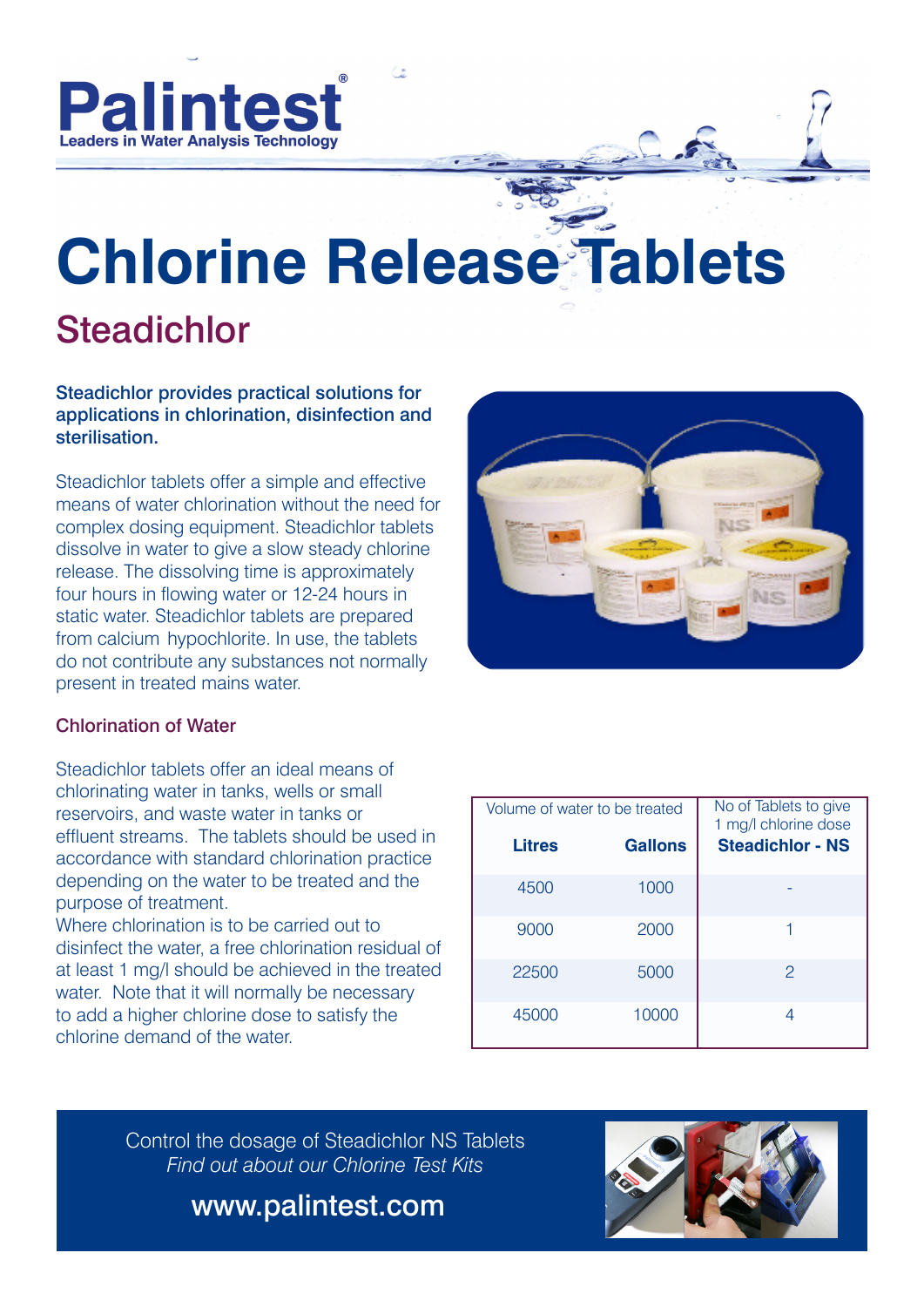

# **Chlorine Release Tablets Steadichlor**

#### Steadichlor provides practical solutions for applications in chlorination, disinfection and sterilisation.

Steadichlor tablets offer a simple and effective means of water chlorination without the need for complex dosing equipment. Steadichlor tablets dissolve in water to give a slow steady chlorine release. The dissolving time is approximately four hours in flowing water or 12-24 hours in static water. Steadichlor tablets are prepared from calcium hypochlorite. In use, the tablets do not contribute any substances not normally present in treated mains water.



### Chlorination of Water

Steadichlor tablets offer an ideal means of chlorinating water in tanks, wells or small reservoirs, and waste water in tanks or effluent streams. The tablets should be used in accordance with standard chlorination practice depending on the water to be treated and the purpose of treatment.

Where chlorination is to be carried out to disinfect the water, a free chlorination residual of at least 1 mg/l should be achieved in the treated water. Note that it will normally be necessary to add a higher chlorine dose to satisfy the chlorine demand of the water.

| Volume of water to be treated |                | No of Tablets to give<br>1 mg/l chlorine dose |  |
|-------------------------------|----------------|-----------------------------------------------|--|
| <b>Litres</b>                 | <b>Gallons</b> | <b>Steadichlor - NS</b>                       |  |
| 4500                          | 1000           |                                               |  |
| 9000                          | 2000           |                                               |  |
| 22500                         | 5000           | $\mathcal{P}$                                 |  |
| 45000                         | 10000          |                                               |  |

Control the dosage of Steadichlor NS Tablets *Find out about our Chlorine Test Kits*

www.palintest.com